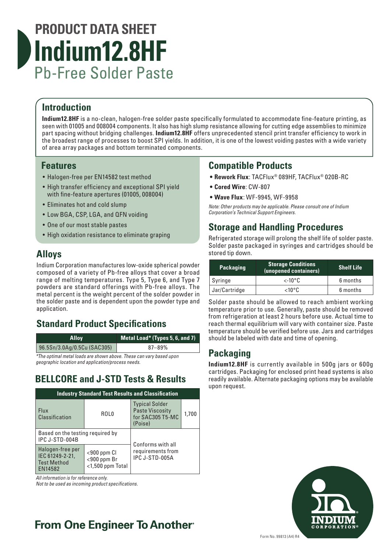# **PRODUCT DATA SHEET Indium12.8HF** Pb-Free Solder Paste

## **Introduction**

**Indium12.8HF** is a no-clean, halogen-free solder paste specifically formulated to accommodate fine-feature printing, as seen with 01005 and 008004 components. It also has high slump resistance allowing for cutting edge assemblies to minimize part spacing without bridging challenges. **Indium12.8HF** offers unprecedented stencil print transfer efficiency to work in the broadest range of processes to boost SPI yields. In addition, it is one of the lowest voiding pastes with a wide variety of area array packages and bottom terminated components.

#### **Features**

- Halogen-free per EN14582 test method
- High transfer efficiency and exceptional SPI yield with fine-feature apertures (01005, 008004)
- Eliminates hot and cold slump
- Low BGA, CSP, LGA, and QFN voiding
- One of our most stable pastes
- High oxidation resistance to eliminate graping

### **Alloys**

Indium Corporation manufactures low-oxide spherical powder composed of a variety of Pb-free alloys that cover a broad range of melting temperatures. Type 5, Type 6, and Type 7 powders are standard offerings with Pb-free alloys. The metal percent is the weight percent of the solder powder in the solder paste and is dependent upon the powder type and application.

### **Standard Product Specifications**

| <b>Alloy</b>                | Metal Load* (Types 5, 6, and 7) |
|-----------------------------|---------------------------------|
| 96.5Sn/3.0Ag/0.5Cu (SAC305) | $87 - 89\%$                     |

*\*The optimal metal loads are shown above. These can vary based upon geographic location and application/process needs.*

### **BELLCORE and J-STD Tests & Results**

| <b>Industry Standard Test Results and Classification</b>             |                                                                                                  |                                                                                |       |  |  |
|----------------------------------------------------------------------|--------------------------------------------------------------------------------------------------|--------------------------------------------------------------------------------|-------|--|--|
| <b>Flux</b><br>Classification                                        | ROL <sub>0</sub>                                                                                 | <b>Typical Solder</b><br><b>Paste Viscosity</b><br>for SAC305 T5-MC<br>(Poise) | 1,700 |  |  |
| Based on the testing required by<br>IPC J-STD-004B                   |                                                                                                  | Conforms with all                                                              |       |  |  |
| Halogen-free per<br>IEC 61249-2-21,<br><b>Test Method</b><br>EN14582 | requirements from<br>$<$ 900 ppm $Cl$<br>IPC J-STD-005A<br>$<$ 900 ppm Br<br>$<$ 1,500 ppm Total |                                                                                |       |  |  |

*All information is for reference only.* 

*Not to be used as incoming product specifications.*

# **From One Engineer To Another**®

### **Compatible Products**

- **• Rework Flux**: TACFlux® 089HF, TACFlux® 020B-RC
- **• Cored Wire**: CW-807
- **• Wave Flux**: WF-9945, WF-9958

*Note: Other products may be applicable. Please consult one of Indium Corporation's Technical Support Engineers.*

### **Storage and Handling Procedures**

Refrigerated storage will prolong the shelf life of solder paste. Solder paste packaged in syringes and cartridges should be stored tip down.

| <b>Packaging</b> | <b>Storage Conditions</b><br>(unopened containers) | <b>Shelf Life</b> |
|------------------|----------------------------------------------------|-------------------|
| Syringe          | $\lt$ -10°C                                        | 6 months          |
| Jar/Cartridge    | $<$ 10°C                                           | 6 months          |

Solder paste should be allowed to reach ambient working temperature prior to use. Generally, paste should be removed from refrigeration at least 2 hours before use. Actual time to reach thermal equilibrium will vary with container size. Paste temperature should be verified before use. Jars and cartridges should be labeled with date and time of opening.

## **Packaging**

**Indium12.8HF** is currently available in 500g jars or 600g cartridges. Packaging for enclosed print head systems is also readily available. Alternate packaging options may be available upon request.